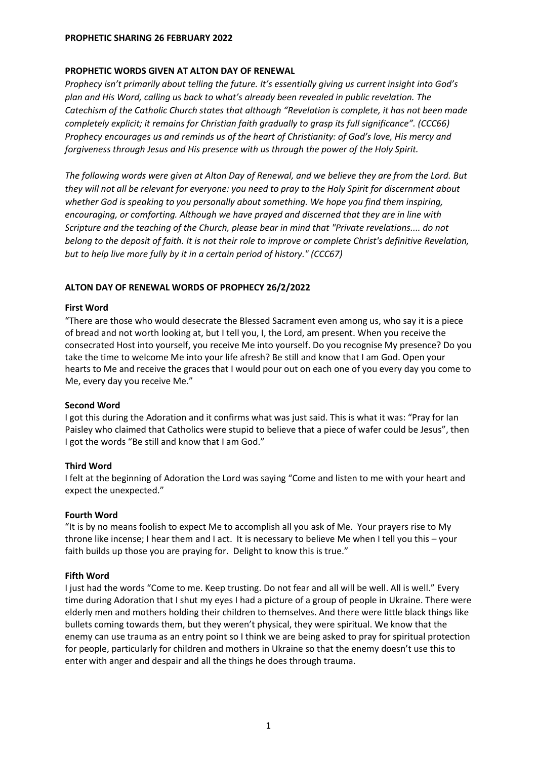## **PROPHETIC WORDS GIVEN AT ALTON DAY OF RENEWAL**

*Prophecy isn't primarily about telling the future. It's essentially giving us current insight into God's plan and His Word, calling us back to what's already been revealed in public revelation. The Catechism of the Catholic Church states that although "Revelation is complete, it has not been made completely explicit; it remains for Christian faith gradually to grasp its full significance". (CCC66) Prophecy encourages us and reminds us of the heart of Christianity: of God's love, His mercy and forgiveness through Jesus and His presence with us through the power of the Holy Spirit.*

*The following words were given at Alton Day of Renewal, and we believe they are from the Lord. But they will not all be relevant for everyone: you need to pray to the Holy Spirit for discernment about whether God is speaking to you personally about something. We hope you find them inspiring, encouraging, or comforting. Although we have prayed and discerned that they are in line with Scripture and the teaching of the Church, please bear in mind that "Private revelations.... do not belong to the deposit of faith. It is not their role to improve or complete Christ's definitive Revelation, but to help live more fully by it in a certain period of history." (CCC67)*

# **ALTON DAY OF RENEWAL WORDS OF PROPHECY 26/2/2022**

### **First Word**

"There are those who would desecrate the Blessed Sacrament even among us, who say it is a piece of bread and not worth looking at, but I tell you, I, the Lord, am present. When you receive the consecrated Host into yourself, you receive Me into yourself. Do you recognise My presence? Do you take the time to welcome Me into your life afresh? Be still and know that I am God. Open your hearts to Me and receive the graces that I would pour out on each one of you every day you come to Me, every day you receive Me."

# **Second Word**

I got this during the Adoration and it confirms what was just said. This is what it was: "Pray for Ian Paisley who claimed that Catholics were stupid to believe that a piece of wafer could be Jesus", then I got the words "Be still and know that I am God."

# **Third Word**

I felt at the beginning of Adoration the Lord was saying "Come and listen to me with your heart and expect the unexpected."

# **Fourth Word**

"It is by no means foolish to expect Me to accomplish all you ask of Me. Your prayers rise to My throne like incense; I hear them and I act. It is necessary to believe Me when I tell you this – your faith builds up those you are praying for. Delight to know this is true."

# **Fifth Word**

I just had the words "Come to me. Keep trusting. Do not fear and all will be well. All is well." Every time during Adoration that I shut my eyes I had a picture of a group of people in Ukraine. There were elderly men and mothers holding their children to themselves. And there were little black things like bullets coming towards them, but they weren't physical, they were spiritual. We know that the enemy can use trauma as an entry point so I think we are being asked to pray for spiritual protection for people, particularly for children and mothers in Ukraine so that the enemy doesn't use this to enter with anger and despair and all the things he does through trauma.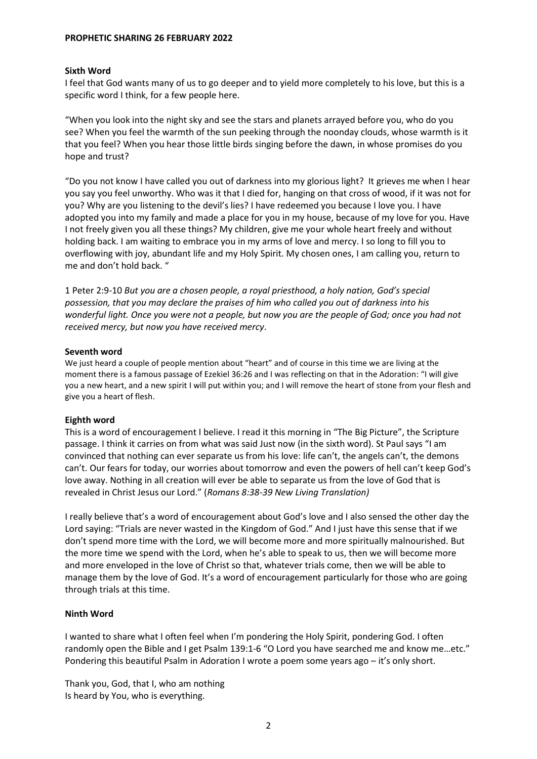## **Sixth Word**

I feel that God wants many of us to go deeper and to yield more completely to his love, but this is a specific word I think, for a few people here.

"When you look into the night sky and see the stars and planets arrayed before you, who do you see? When you feel the warmth of the sun peeking through the noonday clouds, whose warmth is it that you feel? When you hear those little birds singing before the dawn, in whose promises do you hope and trust?

"Do you not know I have called you out of darkness into my glorious light? It grieves me when I hear you say you feel unworthy. Who was it that I died for, hanging on that cross of wood, if it was not for you? Why are you listening to the devil's lies? I have redeemed you because I love you. I have adopted you into my family and made a place for you in my house, because of my love for you. Have I not freely given you all these things? My children, give me your whole heart freely and without holding back. I am waiting to embrace you in my arms of love and mercy. I so long to fill you to overflowing with joy, abundant life and my Holy Spirit. My chosen ones, I am calling you, return to me and don't hold back. "

1 Peter 2:9-10 *But you are a chosen people, a royal priesthood, a holy nation, God's special possession, that you may declare the praises of him who called you out of darkness into his wonderful light. Once you were not a people, but now you are the people of God; once you had not received mercy, but now you have received mercy*.

### **Seventh word**

We just heard a couple of people mention about "heart" and of course in this time we are living at the moment there is a famous passage of Ezekiel 36:26 and I was reflecting on that in the Adoration: "I will give you a new heart, and a new spirit I will put within you; and I will remove the heart of stone from your flesh and give you a heart of flesh.

# **Eighth word**

This is a word of encouragement I believe. I read it this morning in "The Big Picture", the Scripture passage. I think it carries on from what was said Just now (in the sixth word). St Paul says "I am convinced that nothing can ever separate us from his love: life can't, the angels can't, the demons can't. Our fears for today, our worries about tomorrow and even the powers of hell can't keep God's love away. Nothing in all creation will ever be able to separate us from the love of God that is revealed in Christ Jesus our Lord." (*Romans 8:38-39 New Living Translation)*

I really believe that's a word of encouragement about God's love and I also sensed the other day the Lord saying: "Trials are never wasted in the Kingdom of God." And I just have this sense that if we don't spend more time with the Lord, we will become more and more spiritually malnourished. But the more time we spend with the Lord, when he's able to speak to us, then we will become more and more enveloped in the love of Christ so that, whatever trials come, then we will be able to manage them by the love of God. It's a word of encouragement particularly for those who are going through trials at this time.

# **Ninth Word**

I wanted to share what I often feel when I'm pondering the Holy Spirit, pondering God. I often randomly open the Bible and I get Psalm 139:1-6 "O Lord you have searched me and know me…etc." Pondering this beautiful Psalm in Adoration I wrote a poem some years ago – it's only short.

Thank you, God, that I, who am nothing Is heard by You, who is everything.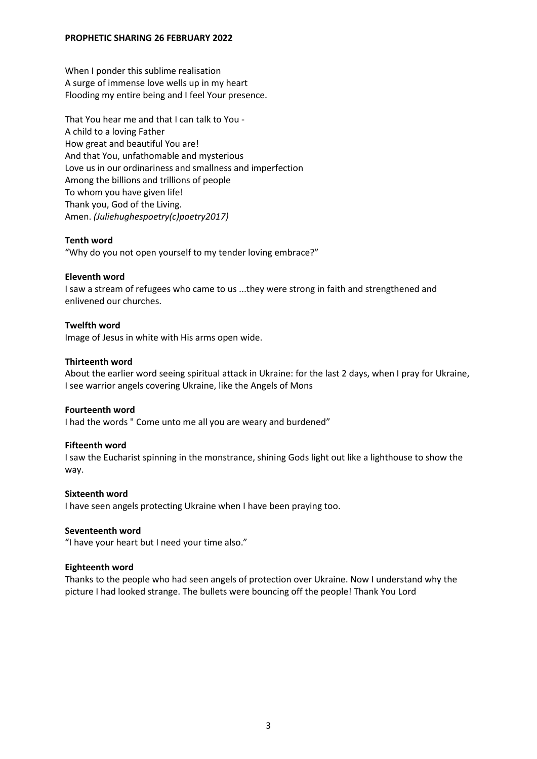When I ponder this sublime realisation A surge of immense love wells up in my heart Flooding my entire being and I feel Your presence.

That You hear me and that I can talk to You - A child to a loving Father How great and beautiful You are! And that You, unfathomable and mysterious Love us in our ordinariness and smallness and imperfection Among the billions and trillions of people To whom you have given life! Thank you, God of the Living. Amen. *(Juliehughespoetry(c)poetry2017)*

### **Tenth word**

"Why do you not open yourself to my tender loving embrace?"

### **Eleventh word**

I saw a stream of refugees who came to us ...they were strong in faith and strengthened and enlivened our churches.

## **Twelfth word**

Image of Jesus in white with His arms open wide.

### **Thirteenth word**

About the earlier word seeing spiritual attack in Ukraine: for the last 2 days, when I pray for Ukraine, I see warrior angels covering Ukraine, like the Angels of Mons

#### **Fourteenth word**

I had the words " Come unto me all you are weary and burdened"

#### **Fifteenth word**

I saw the Eucharist spinning in the monstrance, shining Gods light out like a lighthouse to show the way.

#### **Sixteenth word**

I have seen angels protecting Ukraine when I have been praying too.

#### **Seventeenth word**

"I have your heart but I need your time also."

#### **Eighteenth word**

Thanks to the people who had seen angels of protection over Ukraine. Now I understand why the picture I had looked strange. The bullets were bouncing off the people! Thank You Lord